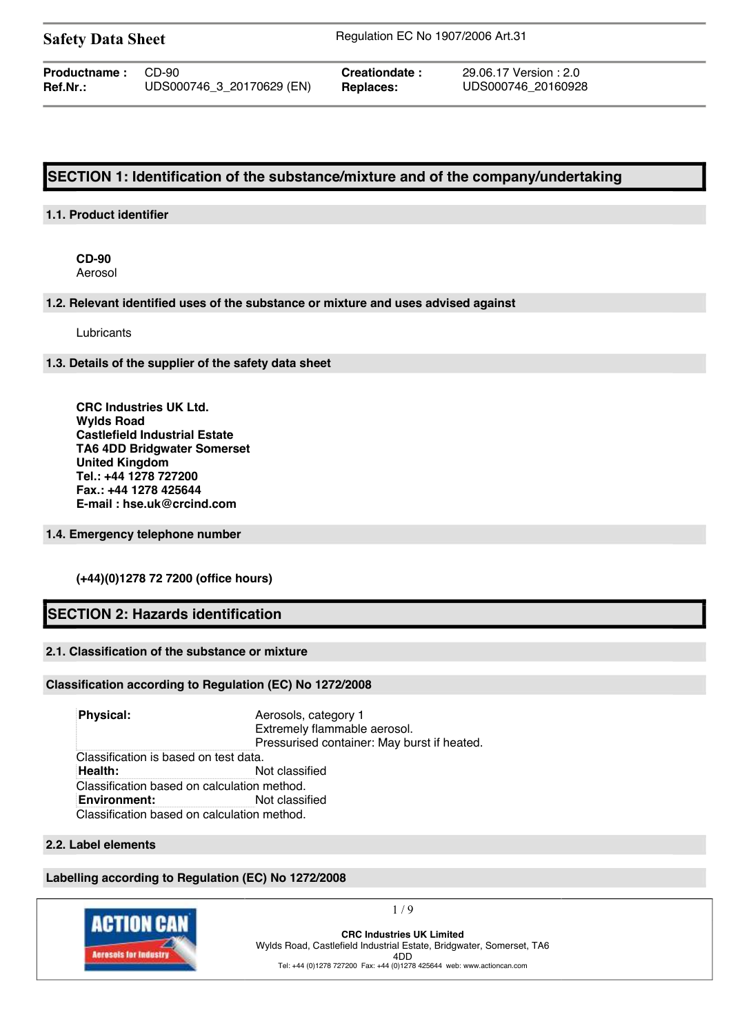**Safety Data Sheet** Regulation EC No 1907/2006 Art.31

**Productname :** CD-90 **Creationdate :** 29.06.17 Version : 2.0 **Ref.Nr.:** UDS000746\_3\_20170629 (EN) **Replaces:** UDS000746\_20160928

# **SECTION 1: Identification of the substance/mixture and of the company/undertaking**

## **1.1. Product identifier**

**CD-90** Aerosol

**1.2. Relevant identified uses of the substance or mixture and uses advised against**

Lubricants

**1.3. Details of the supplier of the safety data sheet**

**CRC Industries UK Ltd. Wylds Road Castlefield Industrial Estate TA6 4DD Bridgwater Somerset United Kingdom Tel.: +44 1278 727200 Fax.: +44 1278 425644 E-mail : hse.uk@crcind.com**

### **1.4. Emergency telephone number**

**(+44)(0)1278 72 7200 (office hours)**

# **SECTION 2: Hazards identification**

## **2.1. Classification of the substance or mixture**

## **Classification according to Regulation (EC) No 1272/2008**

**Physical:** Aerosols, category 1 Extremely flammable aerosol. Pressurised container: May burst if heated. Classification is based on test data. **Health:** Not classified Classification based on calculation method. **Environment:** Not classified Classification based on calculation method.

## **2.2. Label elements**

## **Labelling according to Regulation (EC) No 1272/2008**



 $1/9$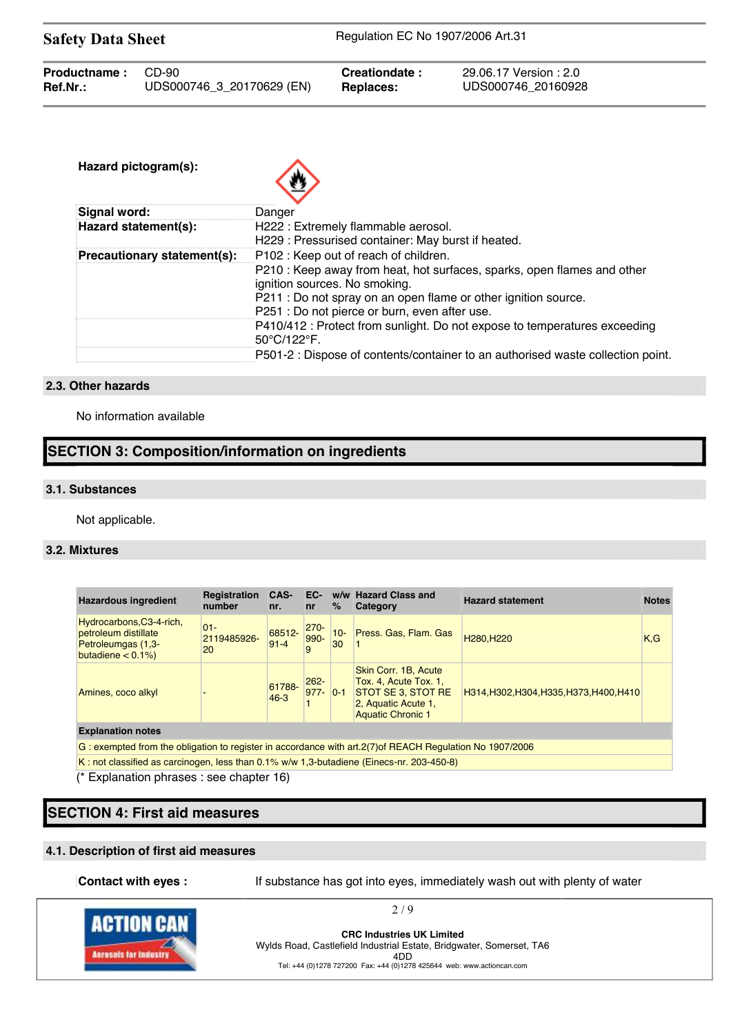| <b>Safety Data Sheet</b>           |                     | Regulation EC No 1907/2006 Art.31 |                                                                                                                                                                                                                                                                                      |  |
|------------------------------------|---------------------|-----------------------------------|--------------------------------------------------------------------------------------------------------------------------------------------------------------------------------------------------------------------------------------------------------------------------------------|--|
| CD-90<br>UDS000746_3_20170629 (EN) |                     | Creationdate:<br><b>Replaces:</b> | 29.06.17 Version : 2.0<br>UDS000746 20160928                                                                                                                                                                                                                                         |  |
| Hazard pictogram(s):               |                     |                                   |                                                                                                                                                                                                                                                                                      |  |
| Hazard statement(s):               |                     |                                   |                                                                                                                                                                                                                                                                                      |  |
| Precautionary statement(s):        |                     |                                   | P210 : Keep away from heat, hot surfaces, sparks, open flames and other<br>P410/412 : Protect from sunlight. Do not expose to temperatures exceeding<br>P501-2 : Dispose of contents/container to an authorised waste collection point.                                              |  |
|                                    | <b>Signal word:</b> | Danger<br>50°C/122°F.             | H222 : Extremely flammable aerosol.<br>H229: Pressurised container: May burst if heated.<br>P102: Keep out of reach of children.<br>ignition sources. No smoking.<br>P211 : Do not spray on an open flame or other ignition source.<br>P251 : Do not pierce or burn, even after use. |  |

## **2.3. Other hazards**

No information available

# **SECTION 3: Composition/information on ingredients**

### **3.1. Substances**

Not applicable.

### **3.2. Mixtures**

| <b>Hazardous ingredient</b>                                                                               | <b>Registration</b><br>number | CAS-<br>nr.        | EC-<br>n <b>r</b>        | %            | w/w Hazard Class and<br>Category                                                                                       | <b>Hazard statement</b>                  | <b>Notes</b> |
|-----------------------------------------------------------------------------------------------------------|-------------------------------|--------------------|--------------------------|--------------|------------------------------------------------------------------------------------------------------------------------|------------------------------------------|--------------|
| Hydrocarbons, C3-4-rich,<br>petroleum distillate<br><b>Petroleumgas (1,3-</b><br>butadiene $< 0.1\%$      | $01 -$<br>2119485926-<br>20   | 68512-<br>$91 - 4$ | $270 -$<br>990-<br>9     | $10 -$<br>30 | Press. Gas, Flam. Gas                                                                                                  | H280.H220                                | K, G         |
| Amines, coco alkyl                                                                                        |                               | 61788-<br>$46 - 3$ | $262 -$<br>$977 - 0 - 1$ |              | Skin Corr. 1B, Acute<br>Tox. 4, Acute Tox. 1,<br>STOT SE 3, STOT RE<br>2. Aquatic Acute 1.<br><b>Aquatic Chronic 1</b> | H314, H302, H304, H335, H373, H400, H410 |              |
| <b>Explanation notes</b>                                                                                  |                               |                    |                          |              |                                                                                                                        |                                          |              |
| G: exempted from the obligation to register in accordance with art. 2(7) of REACH Regulation No 1907/2006 |                               |                    |                          |              |                                                                                                                        |                                          |              |
| K: not classified as carcinogen, less than 0.1% w/w 1.3-butadiene (Einecs-nr. 203-450-8)                  |                               |                    |                          |              |                                                                                                                        |                                          |              |

(\* Explanation phrases : see chapter 16)

# **SECTION 4: First aid measures**

## **4.1. Description of first aid measures**

**Contact with eyes :** If substance has got into eyes, immediately wash out with plenty of water



**CRC Industries UK Limited** Wylds Road, Castlefield Industrial Estate, Bridgwater, Somerset, TA6 4DD

Tel: +44 (0)1278 727200 Fax: +44 (0)1278 425644 web: www.actioncan.com

2 / 9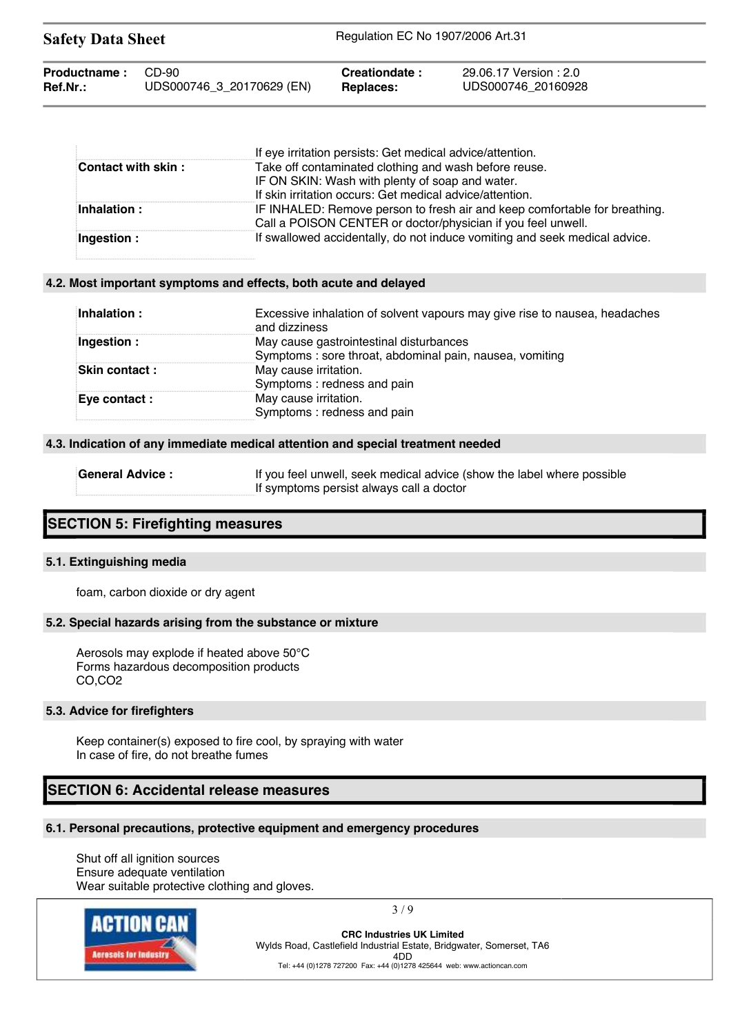| <b>Safety Data Sheet</b> |                           | Regulation EC No 1907/2006 Art.31 |                        |  |
|--------------------------|---------------------------|-----------------------------------|------------------------|--|
| <b>Productname:</b>      | CD-90                     | Creationdate:                     | 29.06.17 Version : 2.0 |  |
| Ref.Nr.:                 | UDS000746_3_20170629 (EN) | Replaces:                         | UDS000746 20160928     |  |

|                     | If eye irritation persists: Get medical advice/attention.                                                                                  |
|---------------------|--------------------------------------------------------------------------------------------------------------------------------------------|
| Contact with skin : | Take off contaminated clothing and wash before reuse.                                                                                      |
|                     | IF ON SKIN: Wash with plenty of soap and water.                                                                                            |
|                     | If skin irritation occurs: Get medical advice/attention.                                                                                   |
| Inhalation:         | IF INHALED: Remove person to fresh air and keep comfortable for breathing.<br>Call a POISON CENTER or doctor/physician if you feel unwell. |
| Ingestion :         | If swallowed accidentally, do not induce vomiting and seek medical advice.                                                                 |

### **4.2. Most important symptoms and effects, both acute and delayed**

| Inhalation:          | Excessive inhalation of solvent vapours may give rise to nausea, headaches<br>and dizziness |
|----------------------|---------------------------------------------------------------------------------------------|
| Ingestion:           | May cause gastrointestinal disturbances                                                     |
|                      | Symptoms: sore throat, abdominal pain, nausea, vomiting                                     |
| <b>Skin contact:</b> | May cause irritation.                                                                       |
|                      | Symptoms: redness and pain                                                                  |
| Eye contact :        | May cause irritation.                                                                       |
|                      | Symptoms: redness and pain                                                                  |

### **4.3. Indication of any immediate medical attention and special treatment needed**

| <b>General Advice:</b> | If you feel unwell, seek medical advice (show the label where possible |
|------------------------|------------------------------------------------------------------------|
|                        | If symptoms persist always call a doctor                               |

## **SECTION 5: Firefighting measures**

### **5.1. Extinguishing media**

foam, carbon dioxide or dry agent

### **5.2. Special hazards arising from the substance or mixture**

Aerosols may explode if heated above 50°C Forms hazardous decomposition products CO,CO2

#### **5.3. Advice for firefighters**

Keep container(s) exposed to fire cool, by spraying with water In case of fire, do not breathe fumes

## **SECTION 6: Accidental release measures**

## **6.1. Personal precautions, protective equipment and emergency procedures**

Shut off all ignition sources Ensure adequate ventilation Wear suitable protective clothing and gloves.



3 / 9

**CRC Industries UK Limited** Wylds Road, Castlefield Industrial Estate, Bridgwater, Somerset, TA6 4DD

Tel: +44 (0)1278 727200 Fax: +44 (0)1278 425644 web: www.actioncan.com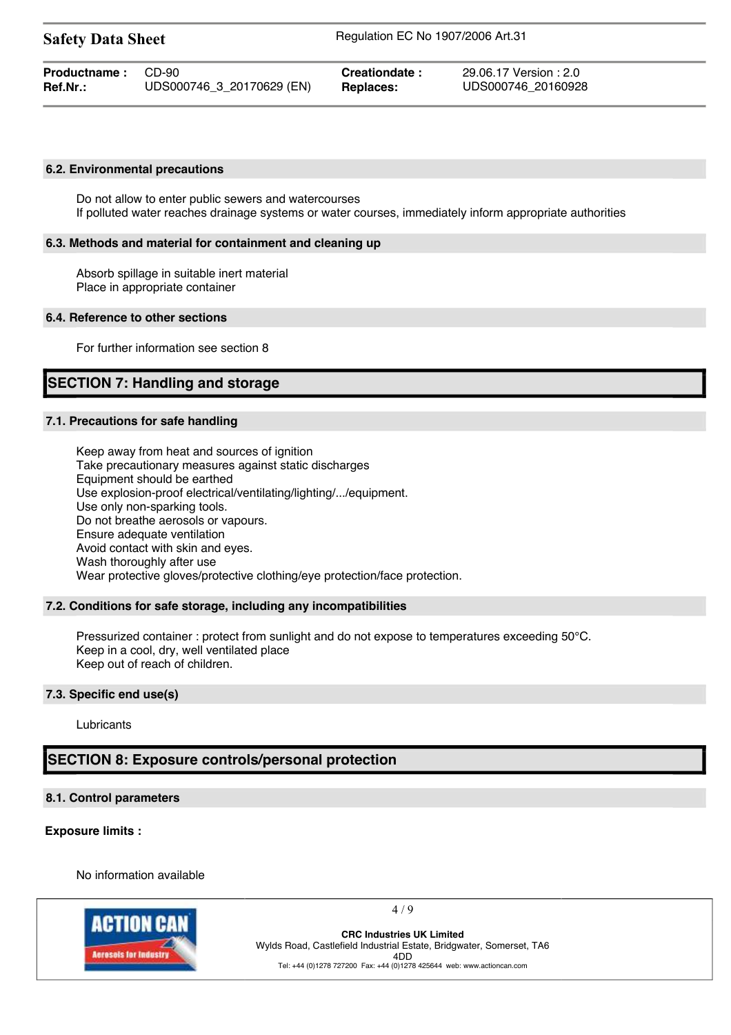| <b>Safety Data Sheet</b> |                           | Regulation EC No 1907/2006 Art.31 |                        |  |
|--------------------------|---------------------------|-----------------------------------|------------------------|--|
| Productname:             | CD-90                     | Creationdate:                     | 29.06.17 Version : 2.0 |  |
| <b>Ref.Nr.:</b>          | UDS000746_3_20170629 (EN) | <b>Replaces:</b>                  | UDS000746 20160928     |  |

### **6.2. Environmental precautions**

Do not allow to enter public sewers and watercourses If polluted water reaches drainage systems or water courses, immediately inform appropriate authorities

#### **6.3. Methods and material for containment and cleaning up**

Absorb spillage in suitable inert material Place in appropriate container

#### **6.4. Reference to other sections**

For further information see section 8

# **SECTION 7: Handling and storage**

#### **7.1. Precautions for safe handling**

Keep away from heat and sources of ignition Take precautionary measures against static discharges Equipment should be earthed Use explosion-proof electrical/ventilating/lighting/.../equipment. Use only non-sparking tools. Do not breathe aerosols or vapours. Ensure adequate ventilation Avoid contact with skin and eyes. Wash thoroughly after use Wear protective gloves/protective clothing/eye protection/face protection.

### **7.2. Conditions for safe storage, including any incompatibilities**

Pressurized container : protect from sunlight and do not expose to temperatures exceeding 50°C. Keep in a cool, dry, well ventilated place Keep out of reach of children.

#### **7.3. Specific end use(s)**

Lubricants

## **SECTION 8: Exposure controls/personal protection**

#### **8.1. Control parameters**

### **Exposure limits :**

No information available



 $4/9$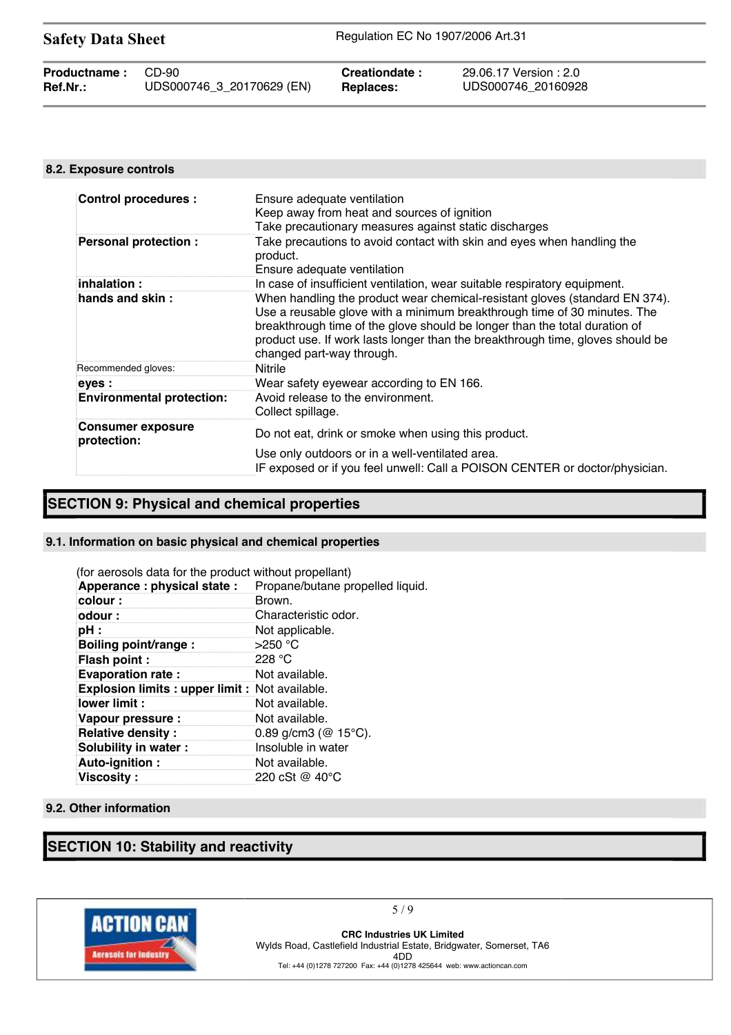| <b>Safety Data Sheet</b> |                           | Regulation EC No 1907/2006 Art.31 |                        |  |
|--------------------------|---------------------------|-----------------------------------|------------------------|--|
| Productname:             | CD-90                     | Creationdate:                     | 29.06.17 Version : 2.0 |  |
| Ref.Nr.:                 | UDS000746 3 20170629 (EN) | Replaces:                         | UDS000746 20160928     |  |

## **8.2. Exposure controls**

| <b>Control procedures:</b>              | Ensure adequate ventilation<br>Keep away from heat and sources of ignition<br>Take precautionary measures against static discharges                                                                                                                                                                                                                  |
|-----------------------------------------|------------------------------------------------------------------------------------------------------------------------------------------------------------------------------------------------------------------------------------------------------------------------------------------------------------------------------------------------------|
| <b>Personal protection:</b>             | Take precautions to avoid contact with skin and eyes when handling the<br>product.<br>Ensure adequate ventilation                                                                                                                                                                                                                                    |
| inhalation :                            | In case of insufficient ventilation, wear suitable respiratory equipment.                                                                                                                                                                                                                                                                            |
| hands and skin:                         | When handling the product wear chemical-resistant gloves (standard EN 374).<br>Use a reusable glove with a minimum breakthrough time of 30 minutes. The<br>breakthrough time of the glove should be longer than the total duration of<br>product use. If work lasts longer than the breakthrough time, gloves should be<br>changed part-way through. |
| Recommended gloves:                     | Nitrile                                                                                                                                                                                                                                                                                                                                              |
| eyes :                                  | Wear safety eyewear according to EN 166.                                                                                                                                                                                                                                                                                                             |
| <b>Environmental protection:</b>        | Avoid release to the environment.<br>Collect spillage.                                                                                                                                                                                                                                                                                               |
| <b>Consumer exposure</b><br>protection: | Do not eat, drink or smoke when using this product.                                                                                                                                                                                                                                                                                                  |
|                                         | Use only outdoors or in a well-ventilated area.<br>IF exposed or if you feel unwell: Call a POISON CENTER or doctor/physician.                                                                                                                                                                                                                       |

# **SECTION 9: Physical and chemical properties**

## **9.1. Information on basic physical and chemical properties**

| (for aerosols data for the product without propellant) |                                  |
|--------------------------------------------------------|----------------------------------|
| Apperance: physical state:                             | Propane/butane propelled liquid. |
| colour:                                                | Brown.                           |
| odour :                                                | Characteristic odor.             |
| pH :                                                   | Not applicable.                  |
| Boiling point/range:                                   | $>250$ °C                        |
| Flash point:                                           | 228 $\degree$ C                  |
| <b>Evaporation rate:</b>                               | Not available.                   |
| <b>Explosion limits: upper limit: Not available.</b>   |                                  |
| lower limit:                                           | Not available.                   |
| Vapour pressure :                                      | Not available.                   |
| <b>Relative density:</b>                               | 0.89 g/cm3 ( $@$ 15°C).          |
| Solubility in water:                                   | Insoluble in water               |
| Auto-ignition:                                         | Not available.                   |
| <b>Viscosity:</b>                                      | 220 cSt @ 40 °C                  |

### **9.2. Other information**

# **SECTION 10: Stability and reactivity**



5 / 9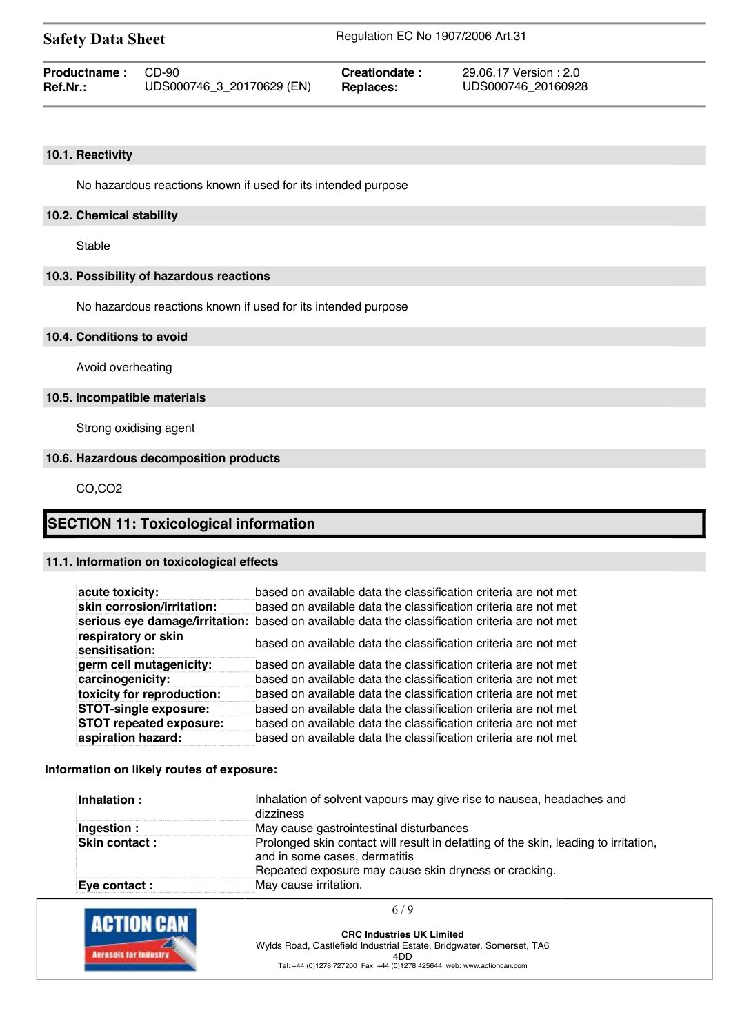| <b>Safety Data Sheet</b> |                           | Regulation EC No 1907/2006 Art.31 |                        |  |
|--------------------------|---------------------------|-----------------------------------|------------------------|--|
| <b>Productname:</b>      | CD-90                     | Creationdate:                     | 29.06.17 Version : 2.0 |  |
| <b>Ref.Nr.:</b>          | UDS000746_3_20170629 (EN) | <b>Replaces:</b>                  | UDS000746 20160928     |  |

## **10.1. Reactivity**

No hazardous reactions known if used for its intended purpose

## **10.2. Chemical stability**

Stable

## **10.3. Possibility of hazardous reactions**

No hazardous reactions known if used for its intended purpose

### **10.4. Conditions to avoid**

Avoid overheating

## **10.5. Incompatible materials**

Strong oxidising agent

### **10.6. Hazardous decomposition products**

CO,CO2

## **SECTION 11: Toxicological information**

## **11.1. Information on toxicological effects**

| acute toxicity:                       | based on available data the classification criteria are not met                                |
|---------------------------------------|------------------------------------------------------------------------------------------------|
| skin corrosion/irritation:            | based on available data the classification criteria are not met                                |
|                                       | serious eye damage/irritation: based on available data the classification criteria are not met |
| respiratory or skin<br>sensitisation: | based on available data the classification criteria are not met                                |
| germ cell mutagenicity:               | based on available data the classification criteria are not met                                |
| carcinogenicity:                      | based on available data the classification criteria are not met                                |
| toxicity for reproduction:            | based on available data the classification criteria are not met                                |
| <b>STOT-single exposure:</b>          | based on available data the classification criteria are not met                                |
| <b>STOT repeated exposure:</b>        | based on available data the classification criteria are not met                                |
| aspiration hazard:                    | based on available data the classification criteria are not met                                |

### **Information on likely routes of exposure:**

| Inhalation:           | Inhalation of solvent vapours may give rise to nausea, headaches and<br>dizziness                                                                                             |
|-----------------------|-------------------------------------------------------------------------------------------------------------------------------------------------------------------------------|
| Ingestion :           | May cause gastrointestinal disturbances                                                                                                                                       |
| <b>Skin contact :</b> | Prolonged skin contact will result in defatting of the skin, leading to irritation,<br>and in some cases, dermatitis<br>Repeated exposure may cause skin dryness or cracking. |
| Eve contact :         | May cause irritation.                                                                                                                                                         |

| <b>ACTION CAN</b>            | 6/9                                                                         |
|------------------------------|-----------------------------------------------------------------------------|
|                              | <b>CRC Industries UK Limited</b>                                            |
| <b>Acresols for Industry</b> | Wylds Road, Castlefield Industrial Estate, Bridgwater, Somerset, TA6<br>4DD |
|                              | Tel: +44 (0)1278 727200 Fax: +44 (0)1278 425644 web: www.actioncan.com      |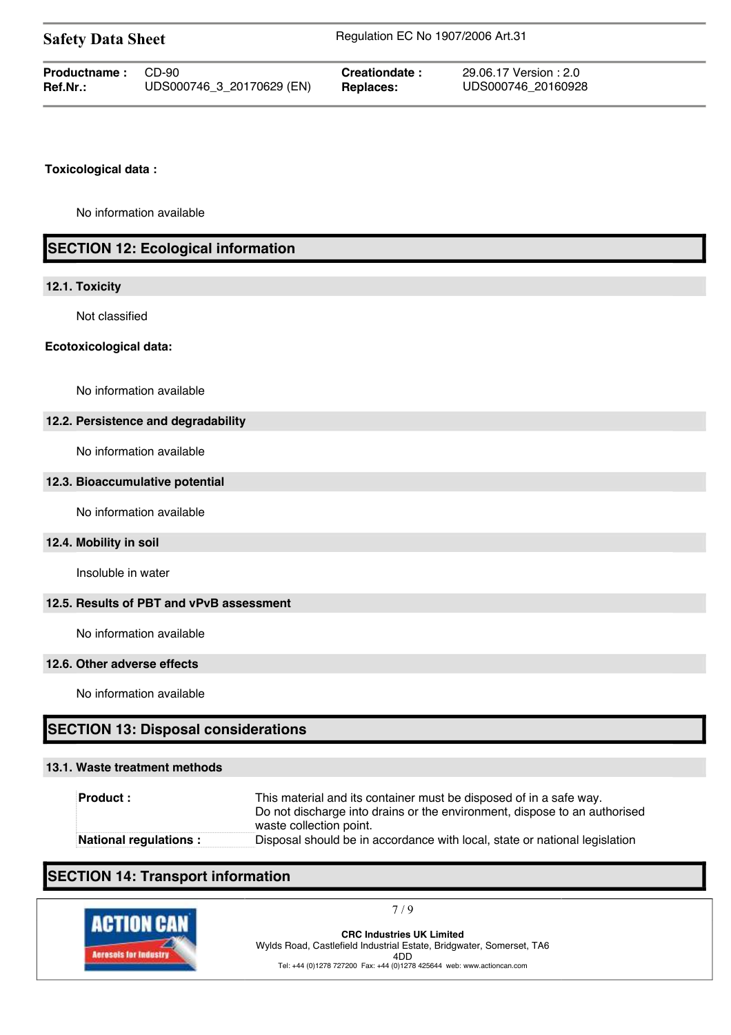| <b>Safety Data Sheet</b> |                           | Regulation EC No 1907/2006 Art.31 |                        |  |
|--------------------------|---------------------------|-----------------------------------|------------------------|--|
| Productname:             | CD-90                     | Creationdate:                     | 29.06.17 Version : 2.0 |  |
| Ref.Nr.:                 | UDS000746_3_20170629 (EN) | Replaces:                         | UDS000746 20160928     |  |

## **Toxicological data :**

No information available

# **SECTION 12: Ecological information**

### **12.1. Toxicity**

Not classified

### **Ecotoxicological data:**

No information available

## **12.2. Persistence and degradability**

No information available

### **12.3. Bioaccumulative potential**

No information available

### **12.4. Mobility in soil**

Insoluble in water

## **12.5. Results of PBT and vPvB assessment**

No information available

### **12.6. Other adverse effects**

No information available

# **SECTION 13: Disposal considerations**

## **13.1. Waste treatment methods**

| <b>Product:</b>        | This material and its container must be disposed of in a safe way.<br>Do not discharge into drains or the environment, dispose to an authorised<br>waste collection point. |
|------------------------|----------------------------------------------------------------------------------------------------------------------------------------------------------------------------|
| National regulations : | Disposal should be in accordance with local, state or national legislation                                                                                                 |

# **SECTION 14: Transport information**



7 / 9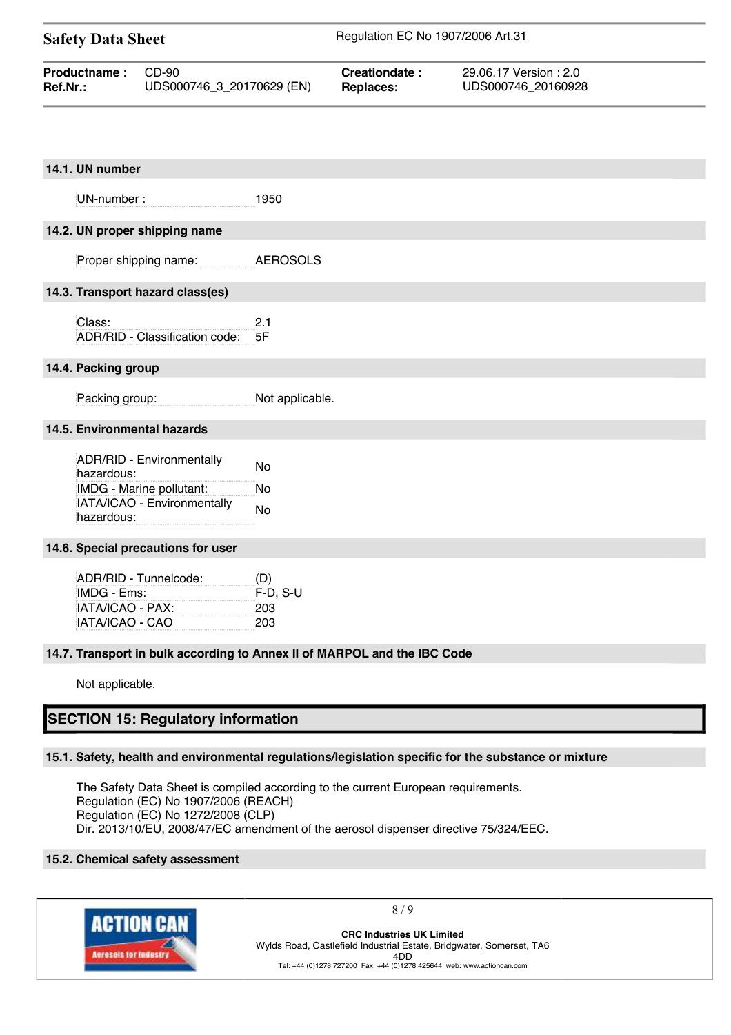| <b>Safety Data Sheet</b> |                           | Regulation EC No 1907/2006 Art.31 |                        |  |
|--------------------------|---------------------------|-----------------------------------|------------------------|--|
| <b>Productname:</b>      | CD-90                     | Creationdate:                     | 29.06.17 Version : 2.0 |  |
| <b>Ref.Nr.:</b>          | UDS000746_3_20170629 (EN) | Replaces:                         | UDS000746 20160928     |  |

| 14.1. UN number                                                             |                                                                          |
|-----------------------------------------------------------------------------|--------------------------------------------------------------------------|
| UN-number:                                                                  | 1950                                                                     |
| 14.2. UN proper shipping name                                               |                                                                          |
| Proper shipping name:                                                       | <b>AEROSOLS</b>                                                          |
| 14.3. Transport hazard class(es)                                            |                                                                          |
| Class:<br>ADR/RID - Classification code:                                    | 2.1<br>5F                                                                |
| 14.4. Packing group                                                         |                                                                          |
| Packing group:                                                              | Not applicable.                                                          |
| 14.5. Environmental hazards                                                 |                                                                          |
| ADR/RID - Environmentally<br>hazardous:<br>IMDG - Marine pollutant:         | No<br>No                                                                 |
| IATA/ICAO - Environmentally<br>hazardous:                                   | No                                                                       |
| 14.6. Special precautions for user                                          |                                                                          |
| ADR/RID - Tunnelcode:<br>IMDG - Ems:<br>IATA/ICAO - PAX:<br>IATA/ICAO - CAO | (D)<br>$F-D$ , S-U<br>203<br>203                                         |
|                                                                             | 14.7. Transport in bulk according to Annex II of MARPOL and the IBC Code |
| Not applicable.                                                             |                                                                          |
| <b>SECTION 15: Regulatory information</b>                                   |                                                                          |

## **15.1. Safety, health and environmental regulations/legislation specific for the substance or mixture**

The Safety Data Sheet is compiled according to the current European requirements. Regulation (EC) No 1907/2006 (REACH) Regulation (EC) No 1272/2008 (CLP) Dir. 2013/10/EU, 2008/47/EC amendment of the aerosol dispenser directive 75/324/EEC.

## **15.2. Chemical safety assessment**



8 / 9